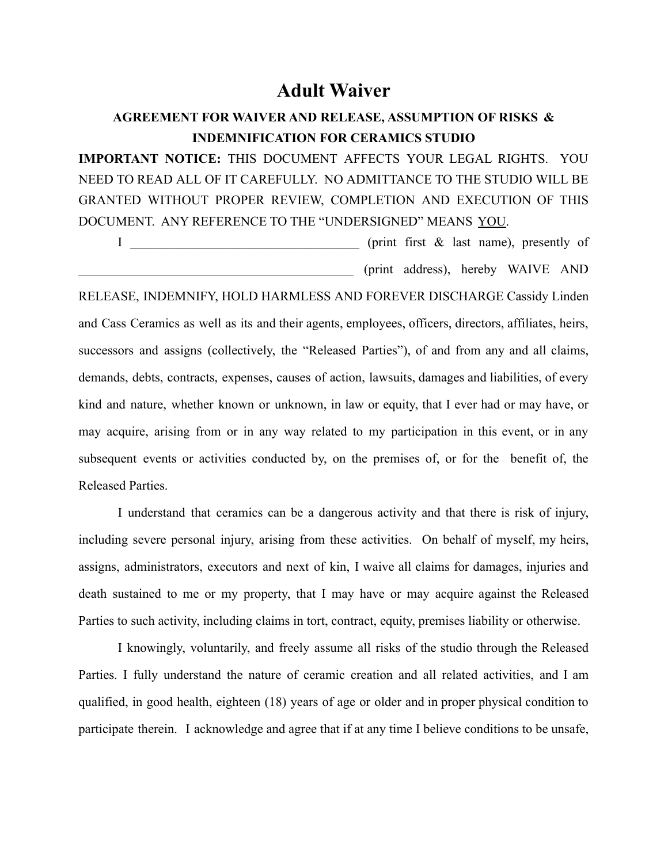## **Adult Waiver**

## **AGREEMENT FOR WAIVER AND RELEASE, ASSUMPTION OF RISKS & INDEMNIFICATION FOR CERAMICS STUDIO**

**IMPORTANT NOTICE:** THIS DOCUMENT AFFECTS YOUR LEGAL RIGHTS. YOU NEED TO READ ALL OF IT CAREFULLY. NO ADMITTANCE TO THE STUDIO WILL BE GRANTED WITHOUT PROPER REVIEW, COMPLETION AND EXECUTION OF THIS DOCUMENT. ANY REFERENCE TO THE "UNDERSIGNED" MEANS YOU.

I \_\_\_\_\_\_\_\_\_\_\_\_\_\_\_\_\_\_\_\_\_\_\_\_\_\_\_\_\_\_\_\_\_\_\_ (print first & last name), presently of \_\_\_\_\_\_\_\_\_\_\_\_\_\_\_\_\_\_\_\_\_\_\_\_\_\_\_\_\_\_\_\_\_\_\_\_\_\_\_\_\_\_ (print address), hereby WAIVE AND

RELEASE, INDEMNIFY, HOLD HARMLESS AND FOREVER DISCHARGE Cassidy Linden and Cass Ceramics as well as its and their agents, employees, officers, directors, affiliates, heirs, successors and assigns (collectively, the "Released Parties"), of and from any and all claims, demands, debts, contracts, expenses, causes of action, lawsuits, damages and liabilities, of every kind and nature, whether known or unknown, in law or equity, that I ever had or may have, or may acquire, arising from or in any way related to my participation in this event, or in any subsequent events or activities conducted by, on the premises of, or for the benefit of, the Released Parties.

I understand that ceramics can be a dangerous activity and that there is risk of injury, including severe personal injury, arising from these activities. On behalf of myself, my heirs, assigns, administrators, executors and next of kin, I waive all claims for damages, injuries and death sustained to me or my property, that I may have or may acquire against the Released Parties to such activity, including claims in tort, contract, equity, premises liability or otherwise.

I knowingly, voluntarily, and freely assume all risks of the studio through the Released Parties. I fully understand the nature of ceramic creation and all related activities, and I am qualified, in good health, eighteen (18) years of age or older and in proper physical condition to participate therein. I acknowledge and agree that if at any time I believe conditions to be unsafe,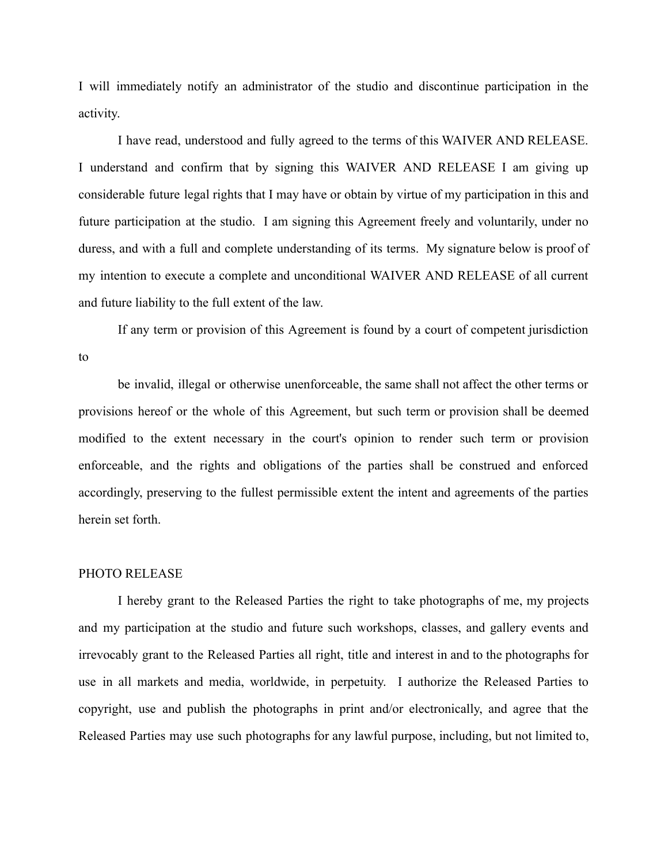I will immediately notify an administrator of the studio and discontinue participation in the activity.

I have read, understood and fully agreed to the terms of this WAIVER AND RELEASE. I understand and confirm that by signing this WAIVER AND RELEASE I am giving up considerable future legal rights that I may have or obtain by virtue of my participation in this and future participation at the studio. I am signing this Agreement freely and voluntarily, under no duress, and with a full and complete understanding of its terms. My signature below is proof of my intention to execute a complete and unconditional WAIVER AND RELEASE of all current and future liability to the full extent of the law.

If any term or provision of this Agreement is found by a court of competent jurisdiction to

be invalid, illegal or otherwise unenforceable, the same shall not affect the other terms or provisions hereof or the whole of this Agreement, but such term or provision shall be deemed modified to the extent necessary in the court's opinion to render such term or provision enforceable, and the rights and obligations of the parties shall be construed and enforced accordingly, preserving to the fullest permissible extent the intent and agreements of the parties herein set forth.

## PHOTO RELEASE

I hereby grant to the Released Parties the right to take photographs of me, my projects and my participation at the studio and future such workshops, classes, and gallery events and irrevocably grant to the Released Parties all right, title and interest in and to the photographs for use in all markets and media, worldwide, in perpetuity. I authorize the Released Parties to copyright, use and publish the photographs in print and/or electronically, and agree that the Released Parties may use such photographs for any lawful purpose, including, but not limited to,